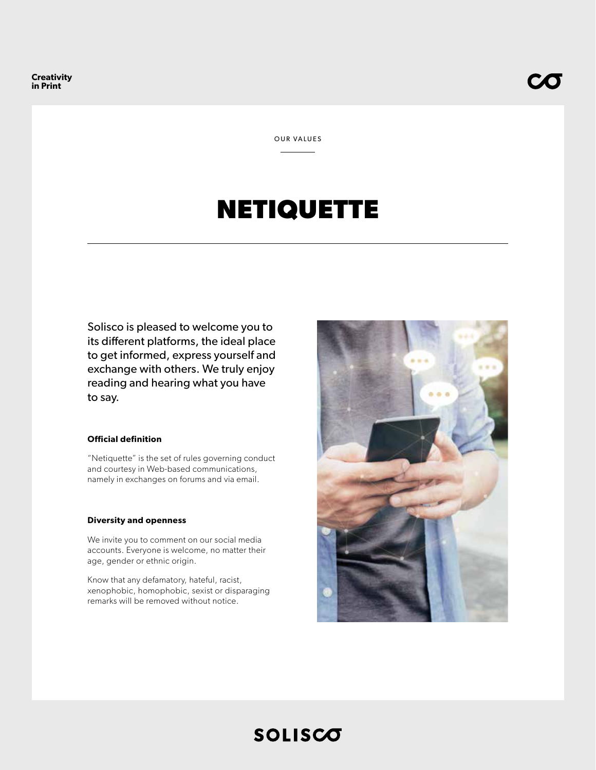OUR VALUES

# **NETIQUETTE**

Solisco is pleased to welcome you to its different platforms, the ideal place to get informed, express yourself and exchange with others. We truly enjoy reading and hearing what you have to say.

### **Official definition**

"Netiquette" is the set of rules governing conduct and courtesy in Web-based communications, namely in exchanges on forums and via email.

#### **Diversity and openness**

We invite you to comment on our social media accounts. Everyone is welcome, no matter their age, gender or ethnic origin.

Know that any defamatory, hateful, racist, xenophobic, homophobic, sexist or disparaging remarks will be removed without notice.



# **SOLISCO**